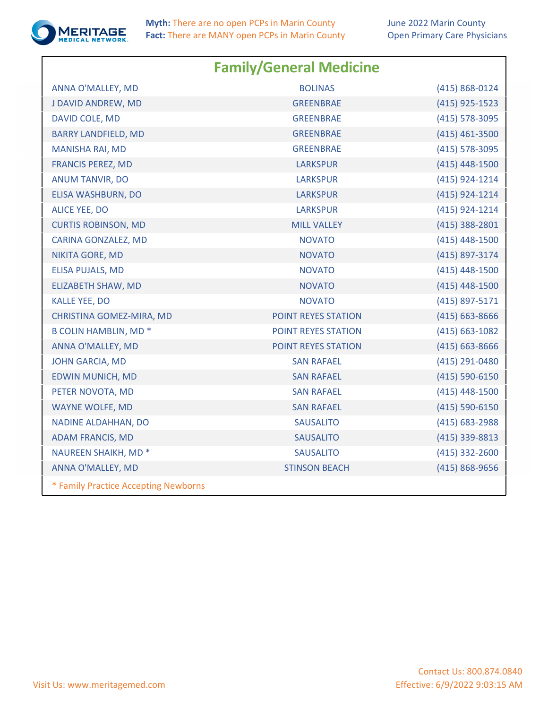

**Myth:** There are no open PCPs in Marin County **Fact:** There are MANY open PCPs in Marin County

|                                      | <b>Family/General Medicine</b> |                    |
|--------------------------------------|--------------------------------|--------------------|
| ANNA O'MALLEY, MD                    | <b>BOLINAS</b>                 | (415) 868-0124     |
| J DAVID ANDREW, MD                   | <b>GREENBRAE</b>               | (415) 925-1523     |
| DAVID COLE, MD                       | <b>GREENBRAE</b>               | (415) 578-3095     |
| <b>BARRY LANDFIELD, MD</b>           | <b>GREENBRAE</b>               | $(415)$ 461-3500   |
| <b>MANISHA RAI, MD</b>               | <b>GREENBRAE</b>               | (415) 578-3095     |
| <b>FRANCIS PEREZ, MD</b>             | <b>LARKSPUR</b>                | $(415)$ 448-1500   |
| <b>ANUM TANVIR, DO</b>               | <b>LARKSPUR</b>                | (415) 924-1214     |
| ELISA WASHBURN, DO                   | <b>LARKSPUR</b>                | (415) 924-1214     |
| <b>ALICE YEE, DO</b>                 | <b>LARKSPUR</b>                | (415) 924-1214     |
| <b>CURTIS ROBINSON, MD</b>           | <b>MILL VALLEY</b>             | $(415)$ 388-2801   |
| CARINA GONZALEZ, MD                  | <b>NOVATO</b>                  | (415) 448-1500     |
| NIKITA GORE, MD                      | <b>NOVATO</b>                  | (415) 897-3174     |
| <b>ELISA PUJALS, MD</b>              | <b>NOVATO</b>                  | (415) 448-1500     |
| ELIZABETH SHAW, MD                   | <b>NOVATO</b>                  | (415) 448-1500     |
| <b>KALLE YEE, DO</b>                 | <b>NOVATO</b>                  | (415) 897-5171     |
| CHRISTINA GOMEZ-MIRA, MD             | POINT REYES STATION            | $(415) 663 - 8666$ |
| <b>B COLIN HAMBLIN, MD*</b>          | POINT REYES STATION            | $(415) 663 - 1082$ |
| ANNA O'MALLEY, MD                    | POINT REYES STATION            | (415) 663-8666     |
| <b>JOHN GARCIA, MD</b>               | <b>SAN RAFAEL</b>              | (415) 291-0480     |
| <b>EDWIN MUNICH, MD</b>              | <b>SAN RAFAEL</b>              | $(415) 590 - 6150$ |
| PETER NOVOTA, MD                     | <b>SAN RAFAEL</b>              | $(415)$ 448-1500   |
| <b>WAYNE WOLFE, MD</b>               | <b>SAN RAFAEL</b>              | (415) 590-6150     |
| NADINE ALDAHHAN, DO                  | <b>SAUSALITO</b>               | (415) 683-2988     |
| <b>ADAM FRANCIS, MD</b>              | <b>SAUSALITO</b>               | (415) 339-8813     |
| NAUREEN SHAIKH, MD <sup>*</sup>      | <b>SAUSALITO</b>               | $(415)$ 332-2600   |
| ANNA O'MALLEY, MD                    | <b>STINSON BEACH</b>           | (415) 868-9656     |
| * Family Practice Accepting Newborns |                                |                    |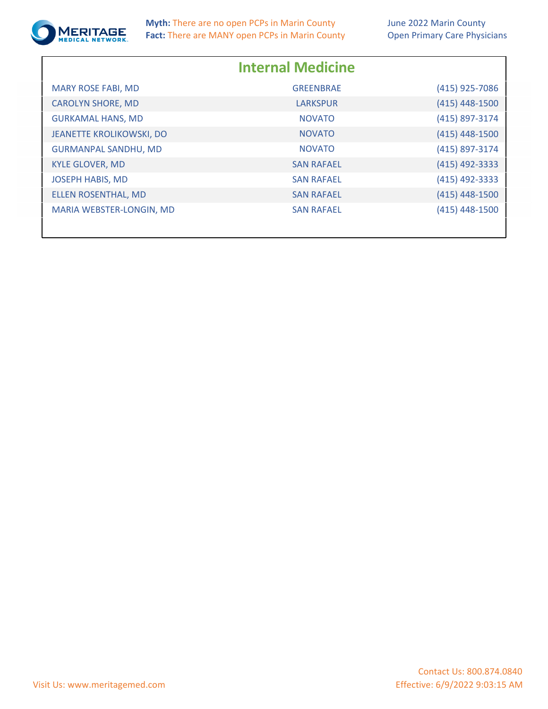

**Myth:** There are no open PCPs in Marin County **Fact:** There are MANY open PCPs in Marin County

|                                 | <b>Internal Medicine</b> |                  |
|---------------------------------|--------------------------|------------------|
| <b>MARY ROSE FABI, MD</b>       | <b>GREENBRAE</b>         | (415) 925-7086   |
| <b>CAROLYN SHORE, MD</b>        | <b>LARKSPUR</b>          | $(415)$ 448-1500 |
| <b>GURKAMAL HANS, MD</b>        | <b>NOVATO</b>            | (415) 897-3174   |
| <b>JEANETTE KROLIKOWSKI, DO</b> | <b>NOVATO</b>            | $(415)$ 448-1500 |
| <b>GURMANPAL SANDHU, MD</b>     | <b>NOVATO</b>            | (415) 897-3174   |
| <b>KYLE GLOVER, MD</b>          | <b>SAN RAFAEL</b>        | (415) 492-3333   |
| <b>JOSEPH HABIS, MD</b>         | <b>SAN RAFAEL</b>        | (415) 492-3333   |
| ELLEN ROSENTHAL, MD             | <b>SAN RAFAEL</b>        | $(415)$ 448-1500 |
| MARIA WEBSTER-LONGIN, MD        | <b>SAN RAFAEL</b>        | (415) 448-1500   |